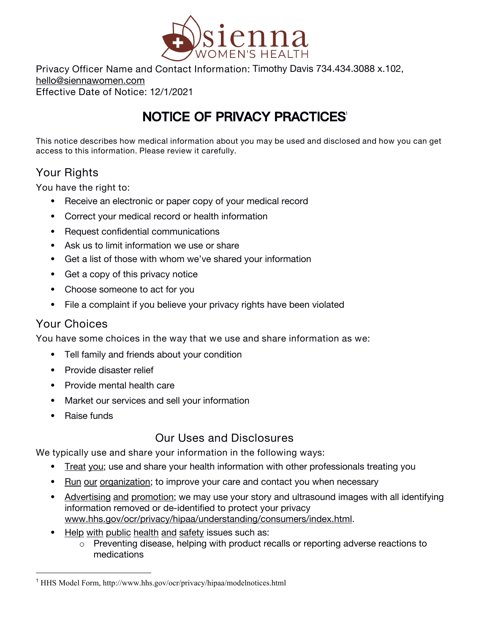

**Privacy Officer Name and Contact Information:** Timothy Davis 734.434.3088 x.102, [hello@si](mailto:admin@flscenter.com)ennawomen.com **Effective Date of Notice:** 12/1/2021

#### **NOTICE OF PRIVACY PRACTICES** [1](#page-0-0)

This notice describes how medical information about you may be used and disclosed and how you can get **access to this information. Please review it carefully.**

# **Your Rights**

**You have the right to:**

- Receive an electronic or paper copy of your medical record
- Correct your medical record or health information
- Request confidential communications
- Ask us to limit information we use or share
- Get a list of those with whom we've shared your information
- Get a copy of this privacy notice
- Choose someone to act for you
- File a complaint if you believe your privacy rights have been violated

#### **Your Choices**

**You have some choices in the way that we use and share information as we:**

- Tell family and friends about your condition
- Provide disaster relief
- Provide mental health care
- Market our services and sell your information
- Raise funds

#### **Our Uses and Disclosures**

**We typically use and share your information in the following ways:**

- Treat you; use and share your health information with other professionals treating you
- Run our organization; to improve your care and contact you when necessary
- Advertising and promotion; we may use your story and ultrasound images with all identifying information removed or de-identified to protect your privacy [www.hhs.gov/ocr/privacy/hipaa/understanding/consumers/index.html](http://www.hhs.gov/ocr/privacy/hipaa/understanding/consumers/index.html).
- Help with public health and safety issues such as:
	- o Preventing disease, helping with product recalls or reporting adverse reactions to medications

<span id="page-0-0"></span><sup>&</sup>lt;sup>1</sup> HHS Model Form, http://www.hhs.gov/ocr/privacy/hipaa/modelnotices.html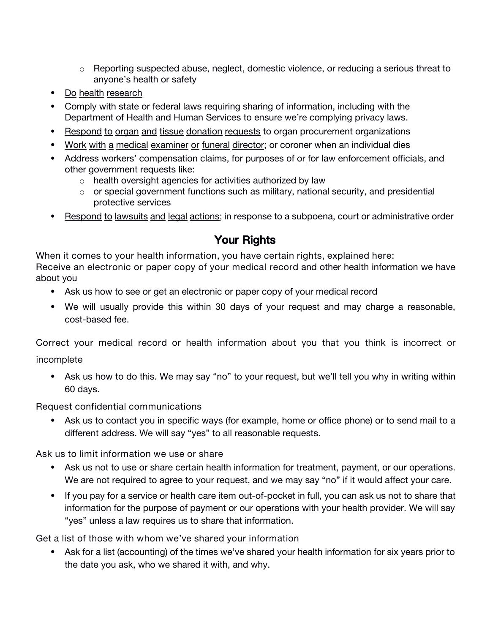- $\circ$  Reporting suspected abuse, neglect, domestic violence, or reducing a serious threat to anyone's health or safety
- Do health research
- Comply with state or federal laws requiring sharing of information, including with the Department of Health and Human Services to ensure we're complying privacy laws.
- Respond to organ and tissue donation requests to organ procurement organizations
- Work with a medical examiner or funeral director; or coroner when an individual dies
- Address workers' compensation claims, for purposes of or for law enforcement officials, and other government requests like:
	- o health oversight agencies for activities authorized by law
	- $\circ$  or special government functions such as military, national security, and presidential protective services
- Respond to lawsuits and legal actions; in response to a subpoena, court or administrative order

## **Your Rights**

**When it comes to your health information,you have certain rights, explained here: Receive an electronic or paper copy of your medical record** and other health information we have about you

- Ask us how to see or get an electronic or paper copy of your medical record
- We will usually provide this within 30 days of your request and may charge a reasonable, cost-based fee.

**Correct your medical record or** health information about you that you think is incorrect or incomplete

• Ask us how to do this. We may say "no" to your request, but we'll tell you why in writing within 60 days.

**Request confidential communications**

• Ask us to contact you in specific ways (for example, home or office phone) or to send mail to a different address. We will say "yes" to all reasonable requests.

**Ask us to limit information we use or share**

- Ask us not to use or share certain health information for treatment, payment, or our operations. We are not required to agree to your request, and we may say "no" if it would affect your care.
- If you pay for a service or health care item out-of-pocket in full, you can ask us not to share that information for the purpose of payment or our operations with your health provider. We will say "yes" unless a law requires us to share that information.

**Get a list of those with whom we've shared your information**

• Ask for a list (accounting) of the times we've shared your health information for six years prior to the date you ask, who we shared it with, and why.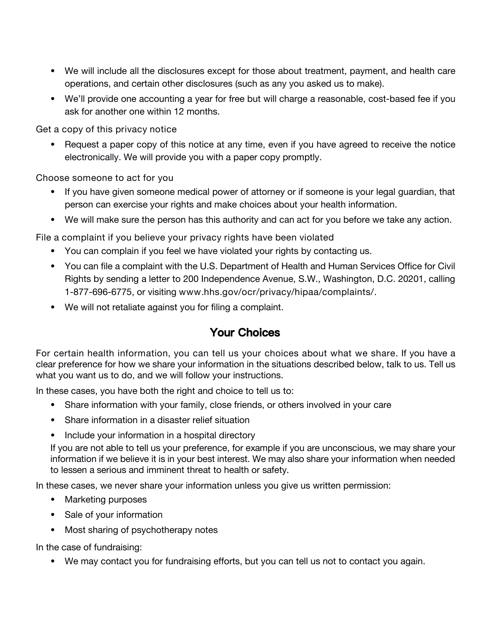- We will include all the disclosures except for those about treatment, payment, and health care operations, and certain other disclosures (such as any you asked us to make).
- We'll provide one accounting a year for free but will charge a reasonable, cost-based fee if you ask for another one within 12 months.

**Get a copy of this privacy notice**

• Request a paper copy of this notice at any time, even if you have agreed to receive the notice electronically. We will provide you with a paper copy promptly.

**Choose someone to act for you**

- If you have given someone medical power of attorney or if someone is your legal guardian, that person can exercise your rights and make choices about your health information.
- We will make sure the person has this authority and can act for you before we take any action.

**File a complaint if you believe your privacy rights have been violated**

- You can complain if you feel we have violated your rights by contacting us.
- You can file a complaint with the U.S. Department of Health and Human Services Office for Civil Rights by sending a letter to 200 Independence Avenue, S.W., Washington, D.C. 20201, calling 1-877-696-6775, or visiting **www.hhs.gov/ocr/privacy/hipaa/complaints/.**
- We will not retaliate against you for filing a complaint.

#### **Your Choices**

**For certain health information, you can tell us your choices about what we share.** If you have a clear preference for how we share your information in the situations described below, talk to us. Tell us what you want us to do, and we will follow your instructions.

In these cases, you have both the right and choice to tell us to:

- Share information with your family, close friends, or others involved in your care
- Share information in a disaster relief situation
- Include your information in a hospital directory

If you are not able to tell us your preference, for example if you are unconscious, we may share your information if we believe it is in your best interest. We may also share your information when needed *to lessen a serious and imminent threat to health or safety.*

In these cases, we never share your information unless you give us written permission:

- Marketing purposes
- Sale of your information
- Most sharing of psychotherapy notes

In the case of fundraising:

• We may contact you for fundraising efforts, but you can tell us not to contact you again.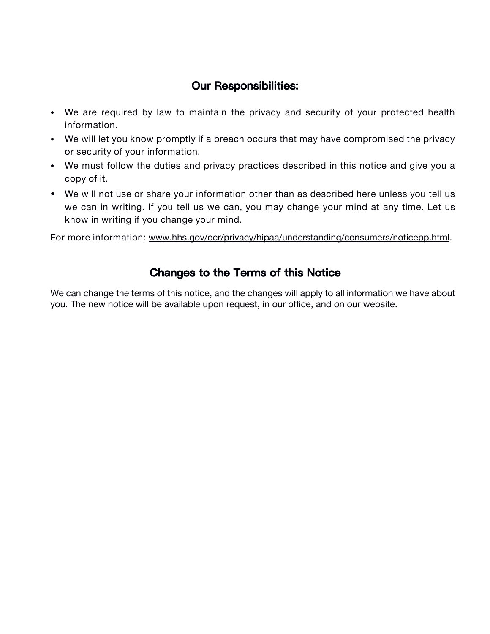### **Our Responsibilities:**

- **We are required by law to maintain the privacy and security of your protected health information.**
- **We will let you know promptly if a breach occurs that may have compromised the privacy or security of your information.**
- **We must follow the duties and privacy practices described in this notice and give you a copy of it.**
- **We will not use or share your information other than as described here unless you tell us we can in writing. Ifyou tell us we can, you may change your mind at any time. Let us know in writing if you change your mind.**

**For more information:** [www.hhs.gov/ocr/privacy/hipaa/understanding/consumers/noticepp.html](http://www.hhs.gov/ocr/privacy/hipaa/understanding/consumers/noticepp.html)**.**

#### **Changes to the Terms of this Notice**

We can change the terms of this notice, and the changes will apply to all information we have about you. The new notice will be available upon request, in our office, and on our website.